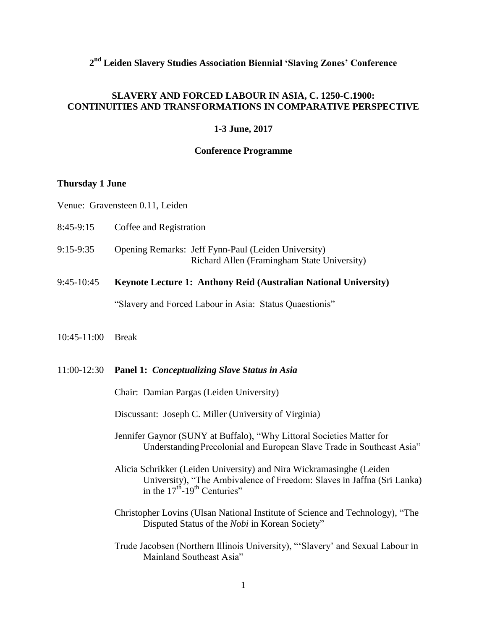# **2 nd Leiden Slavery Studies Association Biennial 'Slaving Zones' Conference**

## **SLAVERY AND FORCED LABOUR IN ASIA, C. 1250-C.1900: CONTINUITIES AND TRANSFORMATIONS IN COMPARATIVE PERSPECTIVE**

### **1-3 June, 2017**

### **Conference Programme**

## **Thursday 1 June**

Venue: Gravensteen 0.11, Leiden

- 8:45-9:15 Coffee and Registration
- 9:15-9:35 Opening Remarks: Jeff Fynn-Paul (Leiden University) Richard Allen (Framingham State University)
- 9:45-10:45 **Keynote Lecture 1: Anthony Reid (Australian National University)**

"Slavery and Forced Labour in Asia: Status Quaestionis"

10:45-11:00 Break

#### 11:00-12:30 **Panel 1:** *Conceptualizing Slave Status in Asia*

Chair: Damian Pargas (Leiden University)

Discussant: Joseph C. Miller (University of Virginia)

- Jennifer Gaynor (SUNY at Buffalo), "Why Littoral Societies Matter for UnderstandingPrecolonial and European Slave Trade in Southeast Asia"
- Alicia Schrikker (Leiden University) and Nira Wickramasinghe (Leiden University), "The Ambivalence of Freedom: Slaves in Jaffna (Sri Lanka) in the  $17<sup>th</sup>$ -19<sup>th</sup> Centuries"
- Christopher Lovins (Ulsan National Institute of Science and Technology), "The Disputed Status of the *Nobi* in Korean Society"
- Trude Jacobsen (Northern Illinois University), "'Slavery' and Sexual Labour in Mainland Southeast Asia"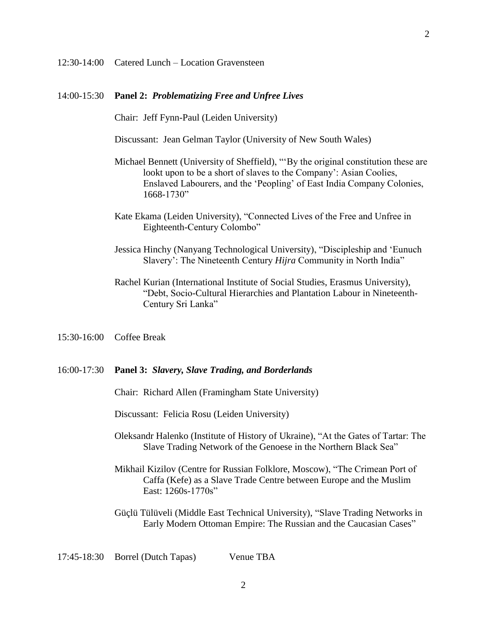### 14:00-15:30 **Panel 2:** *Problematizing Free and Unfree Lives*

Chair: Jeff Fynn-Paul (Leiden University)

Discussant: Jean Gelman Taylor (University of New South Wales)

- Michael Bennett (University of Sheffield), "'By the original constitution these are lookt upon to be a short of slaves to the Company': Asian Coolies, Enslaved Labourers, and the 'Peopling' of East India Company Colonies, 1668-1730"
- Kate Ekama (Leiden University), "Connected Lives of the Free and Unfree in Eighteenth-Century Colombo"
- Jessica Hinchy (Nanyang Technological University), "Discipleship and 'Eunuch Slavery': The Nineteenth Century *Hijra* Community in North India"
- Rachel Kurian (International Institute of Social Studies, Erasmus University), "Debt, Socio-Cultural Hierarchies and Plantation Labour in Nineteenth-Century Sri Lanka"

15:30-16:00 Coffee Break

#### 16:00-17:30 **Panel 3:** *Slavery, Slave Trading, and Borderlands*

Chair: Richard Allen (Framingham State University)

Discussant: Felicia Rosu (Leiden University)

- Oleksandr Halenko (Institute of History of Ukraine), "At the Gates of Tartar: The Slave Trading Network of the Genoese in the Northern Black Sea"
- Mikhail Kizilov (Centre for Russian Folklore, Moscow), "The Crimean Port of Caffa (Kefe) as a Slave Trade Centre between Europe and the Muslim East: 1260s-1770s"

Güçlü Tülüveli (Middle East Technical University), "Slave Trading Networks in Early Modern Ottoman Empire: The Russian and the Caucasian Cases"

## 17:45-18:30 Borrel (Dutch Tapas) Venue TBA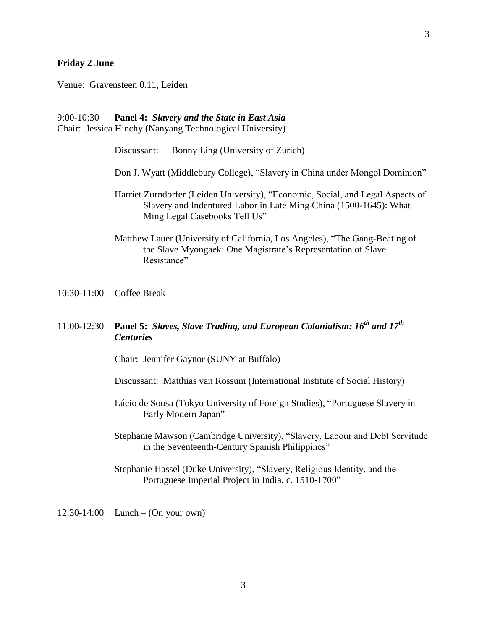#### **Friday 2 June**

Venue: Gravensteen 0.11, Leiden

## 9:00-10:30 **Panel 4:** *Slavery and the State in East Asia*

Chair: Jessica Hinchy (Nanyang Technological University)

Discussant: Bonny Ling (University of Zurich)

- Don J. Wyatt (Middlebury College), "Slavery in China under Mongol Dominion"
- Harriet Zurndorfer (Leiden University), "Economic, Social, and Legal Aspects of Slavery and Indentured Labor in Late Ming China (1500-1645): What Ming Legal Casebooks Tell Us"
- Matthew Lauer (University of California, Los Angeles), "The Gang-Beating of the Slave Myongaek: One Magistrate's Representation of Slave Resistance"
- 10:30-11:00 Coffee Break

# 11:00-12:30 **Panel 5:** *Slaves, Slave Trading, and European Colonialism: 16th and 17th Centuries*

Chair: Jennifer Gaynor (SUNY at Buffalo)

- Discussant: Matthias van Rossum (International Institute of Social History)
- Lúcio de Sousa (Tokyo University of Foreign Studies), "Portuguese Slavery in Early Modern Japan"
- Stephanie Mawson (Cambridge University), "Slavery, Labour and Debt Servitude in the Seventeenth-Century Spanish Philippines"
- Stephanie Hassel (Duke University), "Slavery, Religious Identity, and the Portuguese Imperial Project in India, c. 1510-1700"

12:30-14:00 Lunch – (On your own)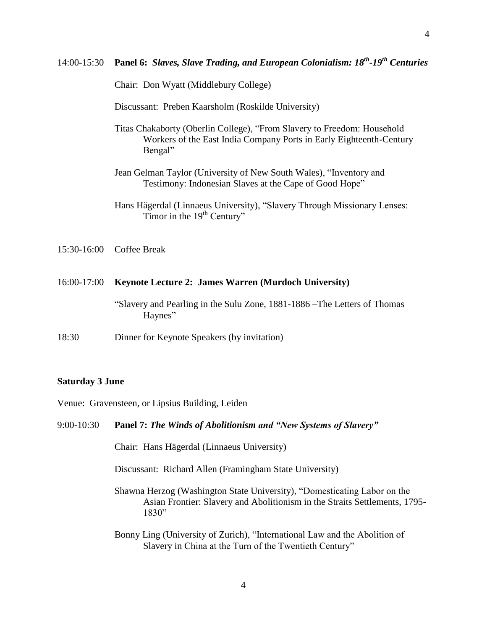Chair: Don Wyatt (Middlebury College)

Discussant: Preben Kaarsholm (Roskilde University)

- Titas Chakaborty (Oberlin College), "From Slavery to Freedom: Household Workers of the East India Company Ports in Early Eighteenth-Century Bengal"
- Jean Gelman Taylor (University of New South Wales), "Inventory and Testimony: Indonesian Slaves at the Cape of Good Hope"
- Hans Hägerdal (Linnaeus University), "Slavery Through Missionary Lenses: Timor in the  $19<sup>th</sup>$  Century"
- 15:30-16:00 Coffee Break

#### 16:00-17:00 **Keynote Lecture 2: James Warren (Murdoch University)**

"Slavery and Pearling in the Sulu Zone, 1881-1886 –The Letters of Thomas Haynes"

18:30 Dinner for Keynote Speakers (by invitation)

#### **Saturday 3 June**

Venue: Gravensteen, or Lipsius Building, Leiden

## 9:00-10:30 **Panel 7:** *The Winds of Abolitionism and "New Systems of Slavery"*

Chair: Hans Hägerdal (Linnaeus University)

Discussant: Richard Allen (Framingham State University)

- Shawna Herzog (Washington State University), "Domesticating Labor on the Asian Frontier: Slavery and Abolitionism in the Straits Settlements, 1795- 1830"
- Bonny Ling (University of Zurich), "International Law and the Abolition of Slavery in China at the Turn of the Twentieth Century"

4